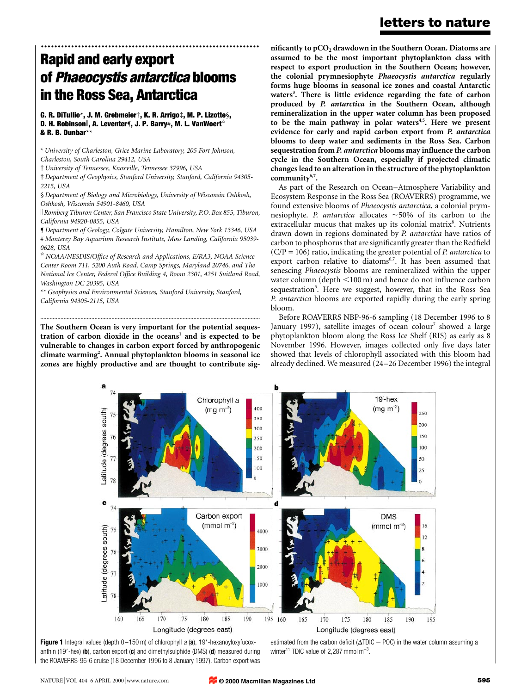# ................................................................. Rapid and early export of Phaeocystis antarctica blooms in the Ross Sea, Antarctica

G. R. DiTullio\*, J. M. Grebmeier $\dagger$ , K. R. Arrigo $\ddagger$ , M. P. Lizotte $\zeta$ , D. H. Robinson||, A. Leventerf, J. P. Barry#, M. L. VanWoert<sup>\*</sup> & R. B. Dunbar\*\*

\* University of Charleston, Grice Marine Laboratory, 205 Fort Johnson, Charleston, South Carolina 29412, USA

² University of Tennessee, Knoxville, Tennessee 37996, USA

³ Department of Geophysics, Stanford University, Stanford, California 94305- 2215, USA

§ Department of Biology and Microbiology, University of Wisconsin Oshkosh, Oshkosh, Wisconsin 54901-8460, USA

K Romberg Tiburon Center, San Francisco State University, P.O. Box 855, Tiburon, California 94920-0855, USA

¶ Department of Geology, Colgate University, Hamilton, New York 13346, USA # Monterey Bay Aquarium Research Institute, Moss Landing, California 95039- 0628, USA

 $*$  NOAA/NESDIS/Office of Research and Applications, E/RA3, NOAA Science Center Room 711, 5200 Auth Road, Camp Springs, Maryland 20746, and The National Ice Center, Federal Office Building 4, Room 2301, 4251 Suitland Road, Washington DC 20395, USA

\*\* Geophysics and Environmental Sciences, Stanford University, Stanford, California 94305-2115, USA

The Southern Ocean is very important for the potential sequestration of carbon dioxide in the oceans<sup>1</sup> and is expected to be vulnerable to changes in carbon export forced by anthropogenic climate warming<sup>2</sup>. Annual phytoplankton blooms in seasonal ice zones are highly productive and are thought to contribute sig-

..............................................................................................................................................

nificantly to  $pCO<sub>2</sub>$  drawdown in the Southern Ocean. Diatoms are assumed to be the most important phytoplankton class with respect to export production in the Southern Ocean; however, the colonial prymnesiophyte Phaeocystis antarctica regularly forms huge blooms in seasonal ice zones and coastal Antarctic waters<sup>3</sup>. There is little evidence regarding the fate of carbon produced by P. antarctica in the Southern Ocean, although remineralization in the upper water column has been proposed to be the main pathway in polar waters<sup>4,5</sup>. Here we present evidence for early and rapid carbon export from P. antarctica blooms to deep water and sediments in the Ross Sea. Carbon sequestration from P. antarctica blooms may influence the carbon cycle in the Southern Ocean, especially if projected climatic changes lead to an alteration in the structure of the phytoplankton community<sup>6,7</sup>.

As part of the Research on Ocean-Atmosphere Variability and Ecosystem Response in the Ross Sea (ROAVERRS) programme, we found extensive blooms of Phaeocystis antarctica, a colonial prymnesiophyte. P. antarctica allocates  $\sim$  50% of its carbon to the extracellular mucus that makes up its colonial matrix<sup>8</sup>. Nutrients drawn down in regions dominated by P. antarctica have ratios of carbon to phosphorus that are significantly greater than the Redfield  $(C/P = 106)$  ratio, indicating the greater potential of *P. antarctica* to export carbon relative to diatoms $6,7$ . It has been assumed that senescing Phaeocystis blooms are remineralized within the upper water column (depth  $\leq 100 \text{ m}$ ) and hence do not influence carbon sequestration<sup>5</sup>. Here we suggest, however, that in the Ross Sea P. antarctica blooms are exported rapidly during the early spring bloom.

Before ROAVERRS NBP-96-6 sampling (18 December 1996 to 8 January 1997), satellite images of ocean colour<sup>7</sup> showed a large phytoplankton bloom along the Ross Ice Shelf (RIS) as early as 8 November 1996. However, images collected only five days later showed that levels of chlorophyll associated with this bloom had already declined. We measured (24-26 December 1996) the integral



Figure 1 Integral values (depth  $0-150$  m) of chlorophyll a (a), 19'-hexanoyloxyfucoxanthin (19'-hex) (b), carbon export (c) and dimethylsulphide (DMS) (d) measured during the ROAVERRS-96-6 cruise (18 December 1996 to 8 January 1997). Carbon export was

estimated from the carbon deficit ( $\Delta T DIC - POC$ ) in the water column assuming a winter<sup>11</sup> TDIC value of 2,287 mmol m<sup>-3</sup>.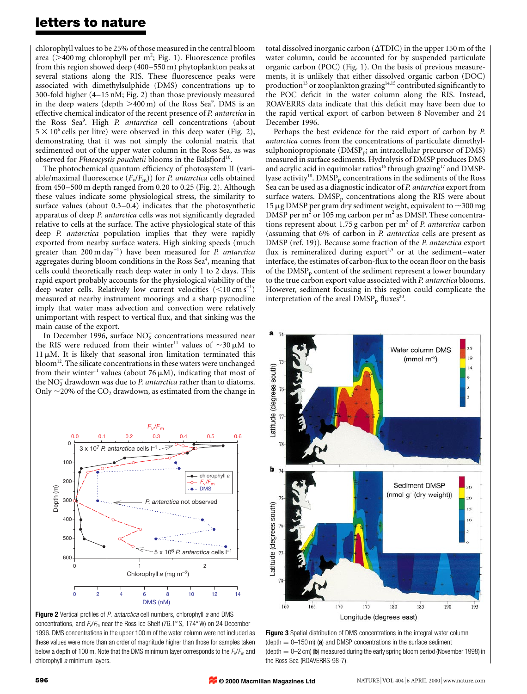chlorophyll values to be 25% of those measured in the central bloom area (>400 mg chlorophyll per m<sup>2</sup>; Fig. 1). Fluorescence profiles from this region showed deep  $(400-550 \text{ m})$  phytoplankton peaks at several stations along the RIS. These fluorescence peaks were associated with dimethylsulphide (DMS) concentrations up to 300-fold higher  $(4–15 \text{ nM}; \text{Fig. 2})$  than those previously measured in the deep waters (depth  $>400 \,\mathrm{m}$ ) of the Ross Sea<sup>9</sup>. DMS is an effective chemical indicator of the recent presence of P. antarctica in the Ross Sea<sup>9</sup>. High P. antarctica cell concentrations (about  $5 \times 10^6$  cells per litre) were observed in this deep water (Fig. 2), demonstrating that it was not simply the colonial matrix that sedimented out of the upper water column in the Ross Sea, as was observed for Phaeocystis pouchetii blooms in the Balsfjord<sup>10</sup>.

The photochemical quantum efficiency of photosystem II (variable/maximal fluorescence  $(F_v/F_m)$  for *P. antarctica* cells obtained from  $450-500$  m depth ranged from 0.20 to 0.25 (Fig. 2). Although these values indicate some physiological stress, the similarity to surface values (about  $0.3-0.4$ ) indicates that the photosynthetic apparatus of deep P. antarctica cells was not significantly degraded relative to cells at the surface. The active physiological state of this deep P. antarctica population implies that they were rapidly exported from nearby surface waters. High sinking speeds (much greater than  $200 \text{ m day}^{-1}$ ) have been measured for P. antarctica aggregates during bloom conditions in the Ross Sea<sup>4</sup>, meaning that cells could theoretically reach deep water in only 1 to 2 days. This rapid export probably accounts for the physiological viability of the deep water cells. Relatively low current velocities  $(<10 \text{ cm s}^{-1})$ measured at nearby instrument moorings and a sharp pycnocline imply that water mass advection and convection were relatively unimportant with respect to vertical flux, and that sinking was the main cause of the export.

In December 1996, surface  $NO_3^-$  concentrations measured near the RIS were reduced from their winter<sup>11</sup> values of  $\sim$ 30  $\mu$ M to  $11 \mu$ M. It is likely that seasonal iron limitation terminated this **. The silicate concentrations in these waters were unchanged** from their winter<sup>11</sup> values (about 76  $\mu$ M), indicating that most of the  $NO_3^-$  drawdown was due to P. antarctica rather than to diatoms. Only  $\sim$  20% of the CO<sub>2</sub> drawdown, as estimated from the change in



Figure 2 Vertical profiles of P. antarctica cell numbers, chlorophyll a and DMS concentrations, and  $F_v/F_m$  near the Ross Ice Shelf (76.1° S, 174° W) on 24 December 1996. DMS concentrations in the upper 100 m of the water column were not included as these values were more than an order of magnitude higher than those for samples taken below a depth of 100 m. Note that the DMS minimum layer corresponds to the  $F_v/F_m$  and chlorophyll a minimum layers.

total dissolved inorganic carbon ( $\Delta TDIC$ ) in the upper 150 m of the water column, could be accounted for by suspended particulate organic carbon (POC) (Fig. 1). On the basis of previous measurements, it is unlikely that either dissolved organic carbon (DOC) production<sup>13</sup> or zooplankton grazing<sup>14,15</sup> contributed significantly to the POC deficit in the water column along the RIS. Instead, ROAVERRS data indicate that this deficit may have been due to the rapid vertical export of carbon between 8 November and 24 December 1996.

Perhaps the best evidence for the raid export of carbon by P. antarctica comes from the concentrations of particulate dimethylsulphoniopropionate ( $\text{DMSP}_p$ ; an intracellular precursor of DMS) measured in surface sediments. Hydrolysis of DMSP produces DMS and acrylic acid in equimolar ratios<sup>16</sup> through grazing<sup>17</sup> and DMSPlyase activity<sup>18</sup>. DMSP<sub>p</sub> concentrations in the sediments of the Ross Sea can be used as a diagnostic indicator of P. antarctica export from surface waters.  $DMSP<sub>p</sub>$  concentrations along the RIS were about 15  $\mu$ g DMSP per gram dry sediment weight, equivalent to  $\sim$ 300 mg DMSP per  $m<sup>2</sup>$  or 105 mg carbon per  $m<sup>2</sup>$  as DMSP. These concentrations represent about 1.75 g carbon per  $m<sup>2</sup>$  of *P. antarctica* carbon (assuming that 6% of carbon in P. antarctica cells are present as DMSP (ref. 19)). Because some fraction of the P. antarctica export flux is remineralized during export<sup>4,5</sup> or at the sediment-water interface, the estimates of carbon-flux to the ocean floor on the basis of the  $DMSP_p$  content of the sediment represent a lower boundary to the true carbon export value associated with P. antarctica blooms. However, sediment focusing in this region could complicate the interpretation of the areal  $DMSP<sub>p</sub>$  fluxes<sup>20</sup>.



**Figure 3** Spatial distribution of DMS concentrations in the integral water column (depth  $= 0-150$  m) (a) and DMSP concentrations in the surface sediment (depth  $= 0-2$  cm) (b) measured during the early spring bloom period (November 1998) in the Ross Sea (ROAVERRS-98-7).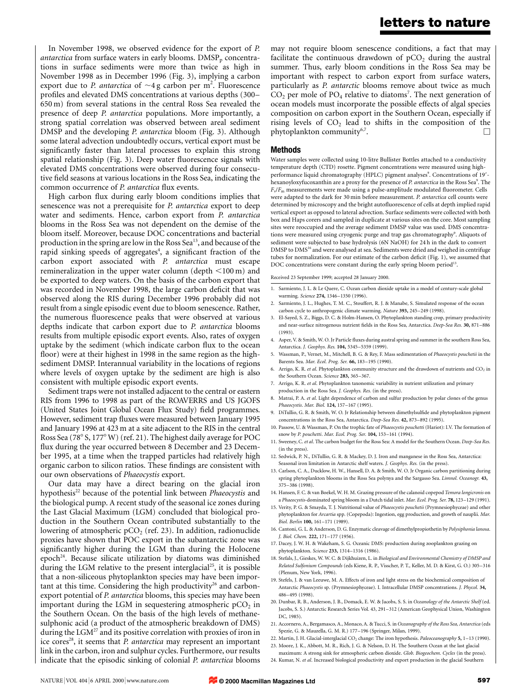In November 1998, we observed evidence for the export of P. *antarctica* from surface waters in early blooms.  $\text{DMSP}_{p}$  concentrations in surface sediments were more than twice as high in November 1998 as in December 1996 (Fig. 3), implying a carbon export due to P. antarctica of  $\sim$ 4 g carbon per m<sup>2</sup>. Fluorescence profiles and elevated DMS concentrations at various depths (300– 650 m) from several stations in the central Ross Sea revealed the presence of deep P. antarctica populations. More importantly, a strong spatial correlation was observed between areal sediment DMSP and the developing P. *antarctica* bloom (Fig. 3). Although some lateral advection undoubtedly occurs, vertical export must be significantly faster than lateral processes to explain this strong spatial relationship (Fig. 3). Deep water fluorescence signals with elevated DMS concentrations were observed during four consecutive field seasons at various locations in the Ross Sea, indicating the common occurrence of P. antarctica flux events.

High carbon flux during early bloom conditions implies that senescence was not a prerequisite for P. antarctica export to deep water and sediments. Hence, carbon export from P. antarctica blooms in the Ross Sea was not dependent on the demise of the bloom itself. Moreover, because DOC concentrations and bacterial production in the spring are low in the Ross Sea<sup>13</sup>, and because of the rapid sinking speeds of aggregates<sup>4</sup>, a significant fraction of the carbon export associated with P. antarctica must escape remineralization in the upper water column (depth  $\leq 100$  m) and be exported to deep waters. On the basis of the carbon export that was recorded in November 1998, the large carbon deficit that was observed along the RIS during December 1996 probably did not result from a single episodic event due to bloom senescence. Rather, the numerous fluorescence peaks that were observed at various depths indicate that carbon export due to P. antarctica blooms results from multiple episodic export events. Also, rates of oxygen uptake by the sediment (which indicate carbon flux to the ocean floor) were at their highest in 1998 in the same region as the highsediment DMSP. Interannual variability in the locations of regions where levels of oxygen uptake by the sediment are high is also consistent with multiple episodic export events.

Sediment traps were not installed adjacent to the central or eastern RIS from 1996 to 1998 as part of the ROAVERRS and US JGOFS (United States Joint Global Ocean Flux Study) field programmes. However, sediment trap fluxes were measured between January 1995 and January 1996 at 423 m at a site adjacent to the RIS in the central Ross Sea (78° S, 177° W) (ref. 21). The highest daily average for POC flux during the year occurred between 8 December and 23 December 1995, at a time when the trapped particles had relatively high organic carbon to silicon ratios. These findings are consistent with our own observations of Phaeocystis export.

Our data may have a direct bearing on the glacial iron hypothesis<sup>22</sup> because of the potential link between Phaeocystis and the biological pump. A recent study of the seasonal ice zones during the Last Glacial Maximum (LGM) concluded that biological production in the Southern Ocean contributed substantially to the lowering of atmospheric  $pCO<sub>2</sub>$  (ref. 23). In addition, radionuclide proxies have shown that POC export in the subantarctic zone was significantly higher during the LGM than during the Holocene epoch<sup>24</sup>. Because silicate utilization by diatoms was diminished during the LGM relative to the present interglacial<sup>25</sup>, it is possible that a non-siliceous phytoplankton species may have been important at this time. Considering the high productivity $26$  and carbonexport potential of P. antarctica blooms, this species may have been important during the LGM in sequestering atmospheric  $pCO<sub>2</sub>$  in the Southern Ocean. On the basis of the high levels of methanesulphonic acid (a product of the atmospheric breakdown of DMS) during the  $LGM^{27}$  and its positive correlation with proxies of iron in ice cores<sup>28</sup>, it seems that *P. antarctica* may represent an important link in the carbon, iron and sulphur cycles. Furthermore, our results indicate that the episodic sinking of colonial P. antarctica blooms

may not require bloom senescence conditions, a fact that may facilitate the continuous drawdown of  $pCO<sub>2</sub>$  during the austral summer. Thus, early bloom conditions in the Ross Sea may be important with respect to carbon export from surface waters, particularly as P. antarctic blooms remove about twice as much  $CO<sub>2</sub>$  per mole of PO<sub>4</sub> relative to diatoms<sup>7</sup>. The next generation of ocean models must incorporate the possible effects of algal species composition on carbon export in the Southern Ocean, especially if rising levels of  $CO<sub>2</sub>$  lead to shifts in the composition of the phytoplankton community<sup>6,7</sup>.

#### Methods

Water samples were collected using 10-litre Bullister Bottles attached to a conductivity temperature depth (CTD) rosette. Pigment concentrations were measured using highperformance liquid chromatography (HPLC) pigment analyses<sup>9</sup>. Concentrations of 19'hexanoyloxyfucoxanthin are a proxy for the presence of P. antarctica in the Ross Sea<sup>9</sup>. The  $F_v/F_m$  measurements were made using a pulse-amplitude modulated fluorometer. Cells were adapted to the dark for 30 min before measurement. P. antarctica cell counts were determined by microscopy and the bright autofluorescence of cells at depth implied rapid vertical export as opposed to lateral advection. Surface sediments were collected with both box and Haps corers and sampled in duplicate at various sites on the core. Most sampling sites were reoccupied and the average sediment DMSP value was used. DMS concentrations were measured using cryogenic purge and trap gas chromatography<sup>9</sup>. Aliquots of sediment were subjected to base hydrolysis (6N NaOH) for 24 h in the dark to convert DMSP to DMS<sup>16</sup> and were analysed at sea. Sediments were dried and weighed in centrifuge tubes for normalization. For our estimate of the carbon deficit (Fig. 1), we assumed that DOC concentrations were constant during the early spring bloom period<sup>13</sup>.

Received 23 September 1999; accepted 28 January 2000.

- 1. Sarmiento, J. L. & Le Quere, C. Ocean carbon dioxide uptake in a model of century-scale global warming. Science 274, 1346-1350 (1996).
- 2. Sarmiento, J. L., Hughes, T. M. C., Stouffert, R. J. & Manabe, S. Simulated response of the ocean carbon cycle to anthropogenic climate warming. Nature 393, 245-249 (1998).
- 3. El-Sayed, S. Z., Biggs, D. C. & Holm-Hansen, O. Phytoplankton standing crop, primary productivity and near-surface nitrogenous nutrient fields in the Ross Sea, Antarctica. Deep-Sea Res.  $30$ ,  $871-886$ (1993).
- 4. Asper, V. & Smith, W. O. Jr Particle fluxes during austral spring and summer in the southern Ross Sea, Antarctica. J. Geophys. Res. 104, 5345-5359 (1999).
- 5. Wassman, P., Vernet, M., Mitchell, B. G. & Rey, F. Mass sedimentation of Phaeocystis pouchetii in the Barents Sea. Mar. Ecol. Prog. Ser. 66, 183-195 (1990).
- 6. Arrigo, K. R. et al. Phytoplankton community structure and the drawdown of nutrients and  $CO<sub>2</sub>$  in the Southern Ocean. Science 283, 365-367.
- 7. Arrigo, K. R. et al. Phytoplankton taxonomic variability in nutrient utilization and primary production in the Ross Sea. J. Geophys. Res. (in the press).
- 8. Matrai, P. A. et al. Light dependence of carbon and sulfur production by polar clones of the genus Phaeocystis. Mar. Biol. 124, 157-167 (1995).
- 9. DiTullio, G. R. & Smith, W. O. Ir Relationship between dimethylsulfide and phytoplankton pigment concentrations in the Ross Sea, Antarctica. Deep-Sea Res. 42, 873-892 (1995).
- 10. Passow, U. & Wassman, P. On the trophic fate of Phaeocystis pouchetti (Hariot): I.V. The formation of snow by P. pouchetti. Mar. Ecol. Prog. Ser. 104, 153-161 (1994).
- 11. Sweeney, C. et al. The carbon budget for the Ross Sea: A model for the Southern Ocean. Deep-Sea Res (in the press).
- 12. Sedwick, P. N., DiTullio, G. R. & Mackey, D. J. Iron and manganese in the Ross Sea, Antarctica: Seasonal iron limitation in Antarctic shelf waters. J. Geophys. Res. (in the press).
- 13. Carlson, C. A., Ducklow, H. W., Hansell, D. A. & Smith, W. O. Jr Organic carbon partitioning during spring phytoplankton blooms in the Ross Sea polynya and the Sargasso Sea. Limnol. Oceanogr. 43, 375±386 (1998).
- 14. Hansen, F. C. & van Boekel, W. H. M. Grazing pressure of the calanoid copepod Temora longicronis on a Phaeocystis-dominated spring bloom in a Dutch tidal inlet. Mar. Ecol. Prog. Ser. 78, 123-129 (1991).
- 15. Verity, P. G. & Smayda, T. J. Nutritional value of Phaeocystis pouchetii (Prymnesiophyceae) and other phytoplankton for Arcartia spp. (Copepoda): Ingestion, egg production, and growth of nauplii. Mar. Biol. Berlin 100, 161-171 (1989).
- 16. Cantoni, G. L. & Anderson, D. G. Enzymatic cleavage of dimethylpropiothetin by Polysiphonia lanosa. J. Biol. Chem. 222, 171-177 (1956).
- 17. Dacey, J. W. H. & Wakeham, S. G. Oceanic DMS: production during zooplankton grazing on phytoplankton. Science 233, 1314-1316 (1986).
- 18. Stefals, J., Gieskes, W. W. C. & Dijkhuizen, L. in Biological and Environmental Chemistry of DMSP and Related Sulfonium Compounds (eds Kiene, R. P., Visscher, P. T., Keller, M. D. & Kirst, G. O.) 305-316 (Plenum, New York, 1996).
- 19. Stefels, J. & van Leeuwe, M. A. Effects of iron and light stress on the biochemical composition of Antarctic Phaeocystis sp. (Prymnesiophyceae). I. Intracellular DMSP concentrations. J. Phycol. 34, 486±495 (1998).
- 20. Dunbar, R. B., Anderson, J. B., Domack, E. W. & Jacobs, S. S. in Oceanology of the Antarctic Shelf (ed. Jacobs, S. S.) Antarctic Research Series Vol. 43, 291-312 (American Geophysical Union, Washington DC, 1985).
- 21. Accornero, A., Bergamasco, A., Monaco, A. & Tucci, S. in Oceanography of the Ross Sea, Antarctica (eds Spezie, G. & Mauzella, G. M. R.) 177-196 (Springer, Milan, 1999).
- 22. Martin, J. H. Glacial-interglacial CO<sub>2</sub> change: The iron hypothesis. Paleoceanography 5, 1-13 (1990).
- 23. Moore, J. K., Abbott, M. R., Rich, J. G. & Nelson, D. H. The Southern Ocean at the last glacial
- maximum: A strong sink for atmospheric carbon dioxide. Glob. Biogeochem. Cycles (in the press). 24. Kumar, N. et al. Increased biological productivity and export production in the glacial Southern